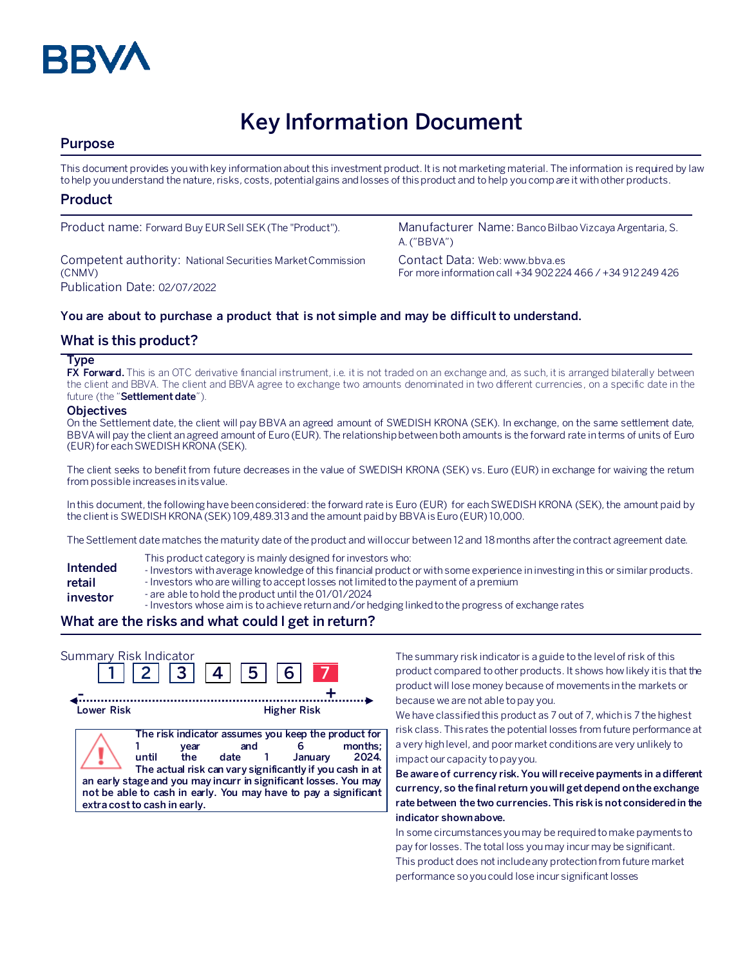

# **Key Information Document**

# **Purpose**

This document provides you with key information about this investment product. It is not marketing material. The information is required by law to help you understand the nature, risks, costs, potential gains and losses of this product and to help you compare it with other products.

## **Product**

Competent authority: National Securities Market Commission (CNMV) Publication Date: 02/07/2022

Product name: Forward Buy EUR Sell SEK (The "Product"). Manufacturer Name: Banco Bilbao Vizcaya Argentaria, S. A. ("BBVA")

> Contact Data: Web: www.bbva.es For more information call +34 902 224 466 / +34 912 249 426

## **You are about to purchase a product that is not simple and may be difficult to understand.**

# **What is this product?**

#### **Type**

**FX Forward.** This is an OTC derivative financial instrument, i.e. it is not traded on an exchange and, as such, it is arranged bilaterally between the client and BBVA. The client and BBVA agree to exchange two amounts denominated in two different currencies, on a specific date in the future (the "**Settlement date**").

#### **Objectives**

On the Settlement date, the client will pay BBVA an agreed amount of SWEDISH KRONA (SEK). In exchange, on the same settlement date, BBVA will pay the client an agreed amount of Euro (EUR). The relationship between both amounts is the forward rate in terms of units of Euro (EUR)for each SWEDISH KRONA(SEK).

The client seeks to benefit from future decreases in the value of SWEDISH KRONA (SEK) vs. Euro (EUR) in exchange for waiving the return from possible increases in its value.

In this document, the following have been considered: the forward rate is Euro (EUR) for eachSWEDISH KRONA (SEK), the amount paid by the client is SWEDISH KRONA(SEK) 109,489.313 and the amount paidby BBVA isEuro (EUR) 10,000.

The Settlement date matches the maturity date of the product and will occur between 12 and 18 months after the contract agreement date.

- This product category is mainly designed for investors who:
- **Intended**  - Investors with average knowledge of this financial product or with some experience in investing in this or similar products.
- **retail**  - Investors who are willing to accept losses not limited to the payment of a premium
- **investor** - are able to hold the product until the 01/01/2024
	- Investors whose aim is to achieve return and/or hedging linked to the progress of exchange rates

# **What are the risks and what could I get in return?**

| Summary Risk Indicator | $2 \mid 3 \mid 4 \mid$                                                                                                                                                                      | $ 5 $ 6                                                                                                                          |                    |                 |
|------------------------|---------------------------------------------------------------------------------------------------------------------------------------------------------------------------------------------|----------------------------------------------------------------------------------------------------------------------------------|--------------------|-----------------|
| Lower Risk             |                                                                                                                                                                                             |                                                                                                                                  | <b>Higher Risk</b> |                 |
|                        | year<br>until<br>the<br>an early stage and you may incurr in significant losses. You may<br>not be able to cash in early. You may have to pay a significant<br>extra cost to cash in early. | The risk indicator assumes you keep the product for<br>and<br>date 1<br>The actual risk can vary significantly if you cash in at | January            | months:<br>2024 |

The summary risk indicator is a guide to the level of risk of this product compared to other products. It shows how likely it is that the product will lose money because of movements in the markets or because we are not able to pay you.

We have classified this product as 7 out of 7, which is 7 the highest risk class. This rates the potential losses from future performance at a very high level, and poor market conditions are very unlikely to impact our capacity to pay you.

**Be aware of currency risk. You will receive payments in a different currency, so the final return you will get depend on the exchange rate between the two currencies. This risk is not considered in the indicator shown above.**

In some circumstances you may be required to make payments to pay for losses. The total loss you may incur may be significant. This product does not include any protection from future market performance so you could lose incur significant losses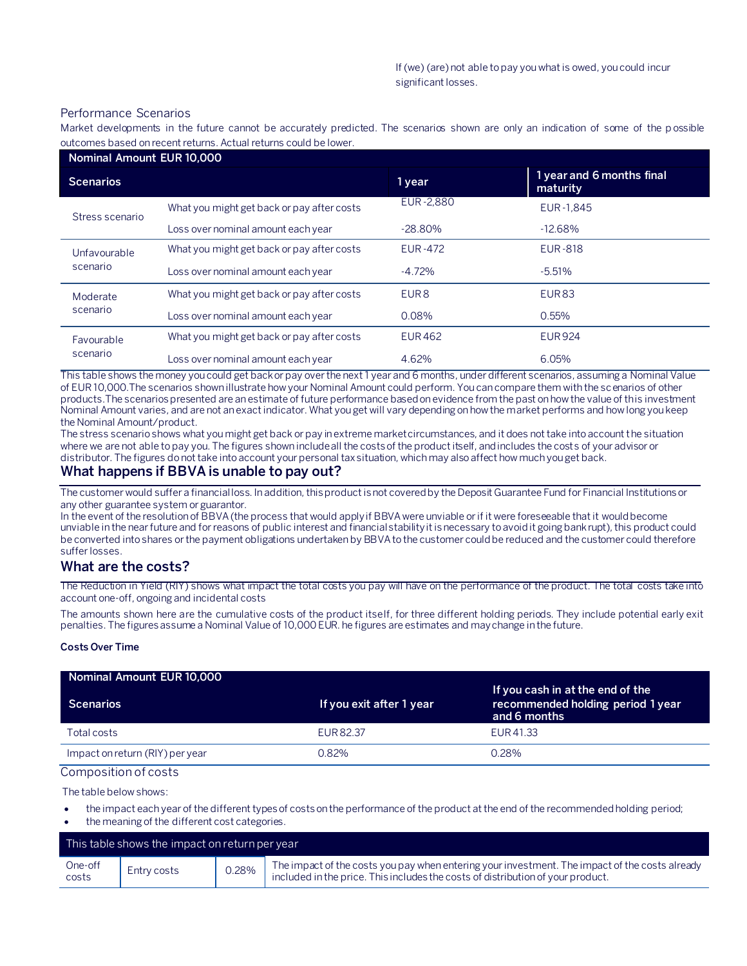#### Performance Scenarios

Market developments in the future cannot be accurately predicted. The scenarios shown are only an indication of some of the p ossible outcomes based on recent returns. Actual returns could be lower.

| Nominal Amount EUR 10,000 |                                            |                  |                                       |
|---------------------------|--------------------------------------------|------------------|---------------------------------------|
| <b>Scenarios</b>          |                                            | 1 year           | 1 year and 6 months final<br>maturity |
| Stress scenario           | What you might get back or pay after costs | EUR-2.880        | EUR-1,845                             |
|                           | Loss over nominal amount each year         | $-28.80\%$       | $-12.68%$                             |
| Unfavourable<br>scenario  | What you might get back or pay after costs | <b>EUR-472</b>   | <b>EUR-818</b>                        |
|                           | Loss over nominal amount each year         | $-4.72%$         | $-5.51%$                              |
| Moderate<br>scenario      | What you might get back or pay after costs | EUR <sub>8</sub> | EUR <sub>83</sub>                     |
|                           | Loss over nominal amount each year         | 0.08%            | 0.55%                                 |
| Favourable<br>scenario    | What you might get back or pay after costs | <b>EUR462</b>    | <b>EUR924</b>                         |
|                           | Loss over nominal amount each year         | 4.62%            | 6.05%                                 |

This table shows the money you could get back or pay over the next 1 year and 6 months, under different scenarios, assuming a Nominal Value of EUR 10,000.The scenarios shown illustrate how your Nominal Amount could perform. You can compare them with the scenarios of other products.The scenarios presented are an estimate of future performance based on evidence from the past on how the value of this investment Nominal Amount varies, and are not an exact indicator. What you get will vary depending on how the market performs and how long you keep the Nominal Amount/product.

The stress scenario shows what you might get back or pay in extreme market circumstances, and it does not take into account the situation where we are not able to pay you. The figures shown include all the costs of the product itself, and includes the costs of your advisor or distributor. The figures do not take into account your personal tax situation, which may also affect how much you get back.

## **What happens if BBVA is unable to pay out?**

The customer would suffer a financial loss. In addition, this product is not covered by the Deposit Guarantee Fund for Financial Institutions or any other guarantee system or guarantor.

In the event of the resolution of BBVA (the process that would apply if BBVA were unviable or if it were foreseeable that it would become unviable in the near future and for reasons of public interest and financial stability it is necessary to avoid it going bankrupt), this product could be converted into shares or the payment obligations undertaken by BBVA to the customer could be reduced and the customer could therefore suffer losses.

#### **What are the costs?**

The Reduction in Yield (RIY) shows what impact the total costs you pay will have on the performance of the product. The total costs take into account one-off, ongoing and incidental costs

The amounts shown here are the cumulative costs of the product itself, for three different holding periods. They include potential early exit penalties. The figures assume a Nominal Value of 10,000 EUR. he figures are estimates and may change in the future.

#### **Costs Over Time**

| Nominal Amount EUR 10,000       |                          |                                                                                       |
|---------------------------------|--------------------------|---------------------------------------------------------------------------------------|
| <b>Scenarios</b>                | If you exit after 1 year | If you cash in at the end of the<br>recommended holding period 1 year<br>and 6 months |
| Total costs                     | EUR 82.37                | EUR 41.33                                                                             |
| Impact on return (RIY) per year | በ.82%                    | $0.28\%$                                                                              |

Composition of costs

The table below shows:

- the impact each year of the different types of costs on the performance of the product at the end of the recommended holding period;
- the meaning of the different cost categories.

| This table shows the impact on return per year |             |       |                                                                                                                                                                                   |
|------------------------------------------------|-------------|-------|-----------------------------------------------------------------------------------------------------------------------------------------------------------------------------------|
| One-off<br>costs                               | Entry costs | 0.28% | The impact of the costs you pay when entering your investment. The impact of the costs already<br>included in the price. This includes the costs of distribution of your product. |